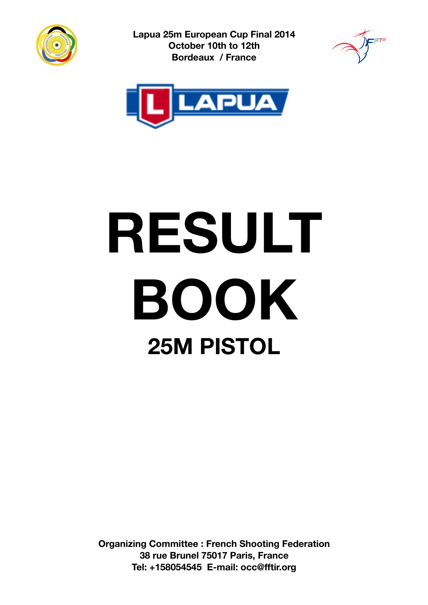

**Lapua 25m European Cup Final 2014 October 10th to 12th Bordeaux / France**





# **RESULT BOOK 25M PISTOL**

**Organizing Committee : French Shooting Federation 38 rue Brunel 75017 Paris, France Tel: +158054545 E-mail: occ@fftir.org**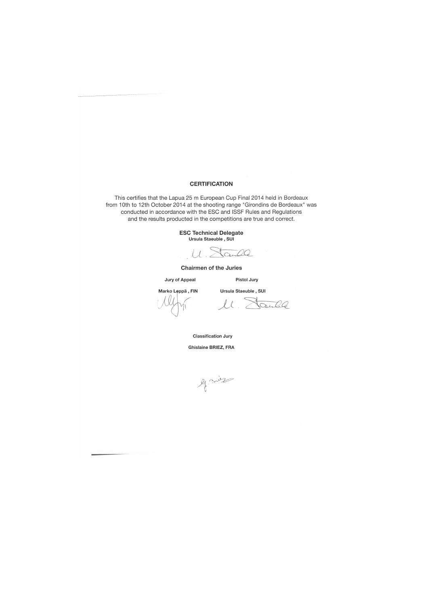#### **CERTIFICATION**

This certifies that the Lapua 25 m European Cup Final 2014 held in Bordeaux from 10th to 12th October 2014 at the shooting range "Girondins de Bordeaux" was conducted in accordance with the ESC and ISSF Rules and Regulations and the results producted in the competitions are true and correct.

ESC Technical Delegat<br>Ursula Staeuble , SUI

M. Sanda

Chairmen of the Juries

Jury of Appeal

Marko Lęppä, FIN

Pistol Jury Ursula Staeuble , SUI

*l ,~*

ll. Stanle

Classification Jury

Ghislaine BRIEZ, FRA

le sier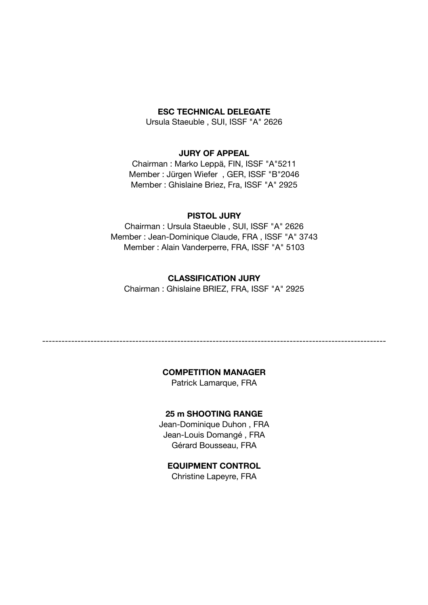#### **ESC TECHNICAL DELEGATE**

Ursula Staeuble , SUI, ISSF "A" 2626

#### **JURY OF APPEAL**

Chairman : Marko Leppä, FIN, ISSF "A"5211 Member : Jürgen Wiefer , GER, ISSF "B"2046 Member : Ghislaine Briez, Fra, ISSF "A" 2925

#### **PISTOL JURY**

Chairman : Ursula Staeuble , SUI, ISSF "A" 2626 Member : Jean-Dominique Claude, FRA , ISSF "A" 3743 Member : Alain Vanderperre, FRA, ISSF "A" 5103

#### **CLASSIFICATION JURY**

Chairman : Ghislaine BRIEZ, FRA, ISSF "A" 2925

#### **COMPETITION MANAGER**

-----------------------------------------------------------------------------------------------------------

Patrick Lamarque, FRA

#### **25 m SHOOTING RANGE**

Jean-Dominique Duhon , FRA Jean-Louis Domangé , FRA Gérard Bousseau, FRA

#### **EQUIPMENT CONTROL**

Christine Lapeyre, FRA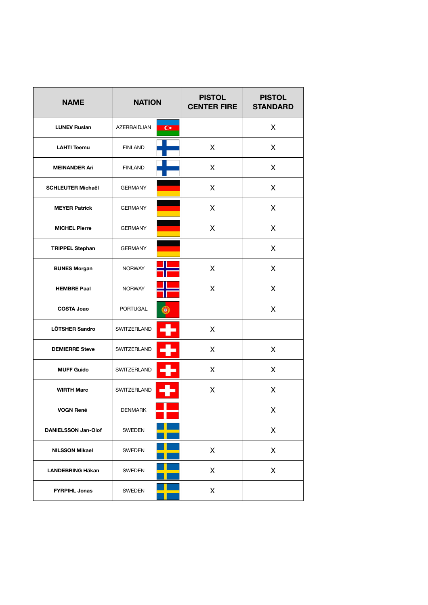| <b>NAME</b>                | <b>NATION</b>   |                | <b>PISTOL</b><br><b>CENTER FIRE</b> | <b>PISTOL</b><br><b>STANDARD</b> |
|----------------------------|-----------------|----------------|-------------------------------------|----------------------------------|
| <b>LUNEV Ruslan</b>        | AZERBAIDJAN     | $\overline{C}$ |                                     | X.                               |
| <b>LAHTI Teemu</b>         | <b>FINLAND</b>  |                | X                                   | X                                |
| <b>MEINANDER Ari</b>       | <b>FINLAND</b>  |                | X                                   | X                                |
| <b>SCHLEUTER Michaêl</b>   | <b>GERMANY</b>  |                | X                                   | X                                |
| <b>MEYER Patrick</b>       | <b>GERMANY</b>  |                | X                                   | X                                |
| <b>MICHEL Pierre</b>       | <b>GERMANY</b>  |                | X                                   | X                                |
| <b>TRIPPEL Stephan</b>     | <b>GERMANY</b>  |                |                                     | X                                |
| <b>BUNES Morgan</b>        | <b>NORWAY</b>   |                | X                                   | X                                |
| <b>HEMBRE Paal</b>         | <b>NORWAY</b>   |                | X                                   | X                                |
| <b>COSTA Joao</b>          | <b>PORTUGAL</b> |                |                                     | X                                |
| LÖTSHER Sandro             | SWITZERLAND     |                | X                                   |                                  |
| <b>DEMIERRE Steve</b>      | SWITZERLAND     |                | X                                   | X                                |
| <b>MUFF Guido</b>          | SWITZERLAND     |                | X                                   | X                                |
| <b>WIRTH Marc</b>          | SWITZERLAND     |                | X                                   | X                                |
| <b>VOGN René</b>           | DENMARK         |                |                                     | X                                |
| <b>DANIELSSON Jan-Olof</b> | SWEDEN          |                |                                     | X                                |
| <b>NILSSON Mikael</b>      | SWEDEN          |                | X                                   | X                                |
| <b>LANDEBRING Häkan</b>    | SWEDEN          |                | X                                   | X                                |
| <b>FYRPIHL Jonas</b>       | SWEDEN          |                | X                                   |                                  |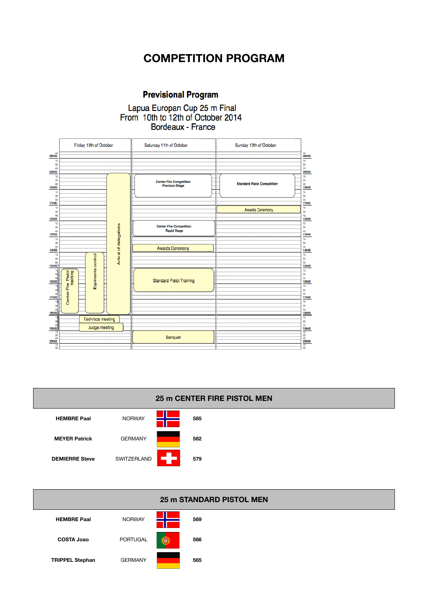# **COMPETITION PROGRAM**

## **Previsional Program**

# Lapua Europan Cup 25 m Final<br>From 10th to 12th of October 2014 Bordeaux - France





| <b>25 m STANDARD PISTOL MEN</b> |                |   |     |  |  |  |  |  |  |
|---------------------------------|----------------|---|-----|--|--|--|--|--|--|
| <b>HEMBRE Paal</b>              | <b>NORWAY</b>  |   | 569 |  |  |  |  |  |  |
| <b>COSTA Joao</b>               | PORTUGAL       | ⊛ | 566 |  |  |  |  |  |  |
| <b>TRIPPEL Stephan</b>          | <b>GERMANY</b> |   | 565 |  |  |  |  |  |  |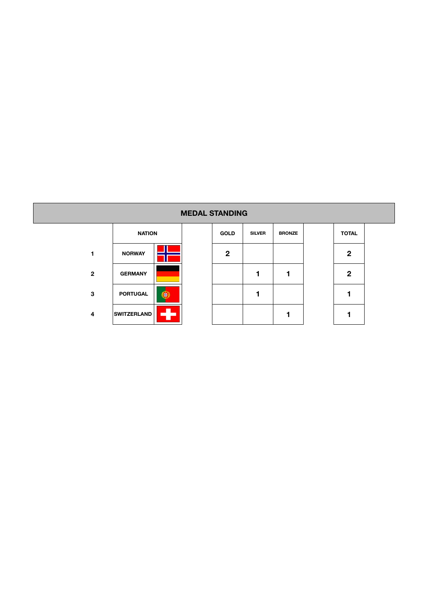#### **MEDAL STANDING**

|              | <b>NATION</b>      |  |  |  |  |  |  |  |
|--------------|--------------------|--|--|--|--|--|--|--|
|              | <b>NORWAY</b>      |  |  |  |  |  |  |  |
| $\mathbf{2}$ | <b>GERMANY</b>     |  |  |  |  |  |  |  |
| 3            | <b>PORTUGAL</b>    |  |  |  |  |  |  |  |
|              | <b>SWITZERLAND</b> |  |  |  |  |  |  |  |

|   | <b>NATION</b>      |     | <b>GOLD</b> | <b>SILVER</b> | <b>BRONZE</b> | <b>TOTAL</b> |
|---|--------------------|-----|-------------|---------------|---------------|--------------|
| 1 | <b>NORWAY</b>      |     | $\mathbf 2$ |               |               | $\mathbf{2}$ |
| 2 | <b>GERMANY</b>     |     |             |               |               | 2            |
| 3 | <b>PORTUGAL</b>    | le. |             |               |               |              |
| 4 | <b>SWITZERLAND</b> |     |             |               |               |              |

| IUIAL          |
|----------------|
| $\overline{2}$ |
| $\overline{2}$ |
| 1              |
|                |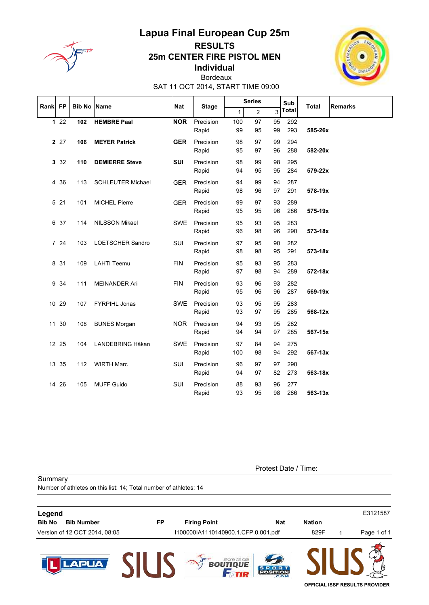

## **Lapua Final European Cup 25m RESULTS** 25m CENTER FIRE PISTOL MEN Individual Bordeaux



SAT 11 OCT 2014, START TIME 09:00

| Rank   FP |       | <b>Bib No Name</b> |                          | <b>Nat</b> |                    |              | <b>Series</b>  |          | Sub        |              | <b>Remarks</b> |
|-----------|-------|--------------------|--------------------------|------------|--------------------|--------------|----------------|----------|------------|--------------|----------------|
|           |       |                    |                          |            | <b>Stage</b>       | $\mathbf{1}$ | $\overline{2}$ | 3        | Total      | <b>Total</b> |                |
|           | 122   | 102                | <b>HEMBRE Paal</b>       | <b>NOR</b> | Precision<br>Rapid | 100<br>99    | 97<br>95       | 95<br>99 | 292<br>293 | 585-26x      |                |
|           | 2 27  | 106                | <b>MEYER Patrick</b>     | <b>GER</b> | Precision<br>Rapid | 98<br>95     | 97<br>97       | 99<br>96 | 294<br>288 | 582-20x      |                |
|           | 3 3 2 | 110                | <b>DEMIERRE Steve</b>    | <b>SUI</b> | Precision<br>Rapid | 98<br>94     | 99<br>95       | 98<br>95 | 295<br>284 | 579-22x      |                |
|           | 4 36  | 113                | <b>SCHLEUTER Michael</b> | <b>GER</b> | Precision<br>Rapid | 94<br>98     | 99<br>96       | 94<br>97 | 287<br>291 | 578-19x      |                |
|           | 5 21  | 101                | <b>MICHEL Pierre</b>     | <b>GER</b> | Precision<br>Rapid | 99<br>95     | 97<br>95       | 93<br>96 | 289<br>286 | 575-19x      |                |
|           | 6 37  | 114                | <b>NILSSON Mikael</b>    | <b>SWE</b> | Precision<br>Rapid | 95<br>96     | 93<br>98       | 95<br>96 | 283<br>290 | 573-18x      |                |
|           | 7 24  | 103                | <b>LOETSCHER Sandro</b>  | <b>SUI</b> | Precision<br>Rapid | 97<br>98     | 95<br>98       | 90<br>95 | 282<br>291 | 573-18x      |                |
|           | 8 31  | 109                | <b>LAHTI Teemu</b>       | <b>FIN</b> | Precision<br>Rapid | 95<br>97     | 93<br>98       | 95<br>94 | 283<br>289 | 572-18x      |                |
|           | 9 34  | 111                | <b>MEINANDER Ari</b>     | <b>FIN</b> | Precision<br>Rapid | 93<br>95     | 96<br>96       | 93<br>96 | 282<br>287 | 569-19x      |                |
|           | 10 29 | 107                | <b>FYRPIHL Jonas</b>     | <b>SWE</b> | Precision<br>Rapid | 93<br>93     | 95<br>97       | 95<br>95 | 283<br>285 | 568-12x      |                |
|           | 11 30 | 108                | <b>BUNES Morgan</b>      | <b>NOR</b> | Precision<br>Rapid | 94<br>94     | 93<br>94       | 95<br>97 | 282<br>285 | 567-15x      |                |
|           | 12 25 | 104                | LANDEBRING Håkan         | <b>SWE</b> | Precision<br>Rapid | 97<br>100    | 84<br>98       | 94<br>94 | 275<br>292 | 567-13x      |                |
|           | 13 35 | 112                | <b>WIRTH Marc</b>        | SUI        | Precision<br>Rapid | 96<br>94     | 97<br>97       | 97<br>82 | 290<br>273 | 563-18x      |                |
| 14        | 26    | 105                | <b>MUFF Guido</b>        | SUI        | Precision<br>Rapid | 88<br>93     | 93<br>95       | 96<br>98 | 277<br>286 | 563-13x      |                |

Summary

Protest Date / Time:

Number of athletes on this list: 14; Total number of athletes: 14 E3121587 Legend **Bib No** Bib Number **FP Firing Point Nat Nation** Version of 12 OCT 2014, 08:05 I100000IA1110140900.1.CFP.0.001.pdf 829F Page 1 of 1  $\mathbf{1}$ **ST BOUT SILIS LAPUA** OFFICIAL ISSF RESULTS PROVIDER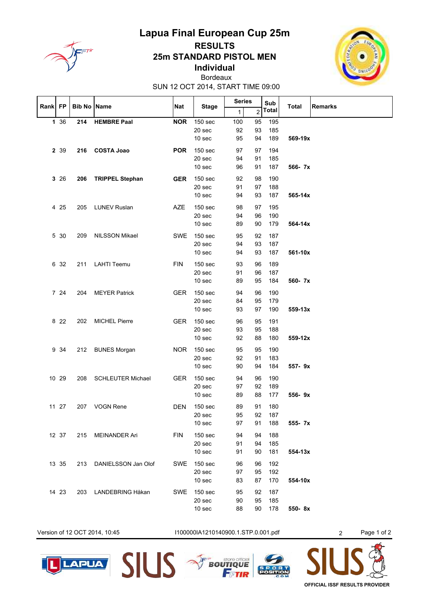

# Lapua Final European Cup 25m **RESULTS 25m STANDARD PISTOL MEN**



**Individual** Bordeaux

SUN 12 OCT 2014, START TIME 09:00

 $\mathbf{\tau}$ 

T

 $\mathbf{\tau}$ 

 $\mathbf{\tau}$ 

|         |       |                    |                          |            |                    |              | Series         |              |              | <b>Remarks</b> |
|---------|-------|--------------------|--------------------------|------------|--------------------|--------------|----------------|--------------|--------------|----------------|
| Rank FP |       | <b>Bib No Name</b> |                          | Nat        | <b>Stage</b>       | $\mathbf{1}$ | $\overline{2}$ | Sub<br>Total | <b>Total</b> |                |
|         | 1 36  | 214                | <b>HEMBRE Paal</b>       | <b>NOR</b> | 150 sec            | 100          | 95             | 195          |              |                |
|         |       |                    |                          |            | 20 sec             | 92           | 93             | 185          |              |                |
|         |       |                    |                          |            | 10 sec             | 95           | 94             | 189          | 569-19x      |                |
|         | 2 3 9 | 216                | <b>COSTA Joao</b>        | <b>POR</b> | 150 sec            | 97           | 97             | 194          |              |                |
|         |       |                    |                          |            | 20 sec             | 94           | 91             | 185          |              |                |
|         |       |                    |                          |            | 10 sec             | 96           | 91             | 187          | 566-7x       |                |
|         | 326   | 206                | <b>TRIPPEL Stephan</b>   | <b>GER</b> | 150 sec            | 92           | 98             | 190          |              |                |
|         |       |                    |                          |            | 20 sec             | 91           | 97             | 188          |              |                |
|         |       |                    |                          |            | 10 sec             | 94           | 93             | 187          | 565-14x      |                |
|         |       |                    |                          |            |                    |              |                |              |              |                |
|         | 4 25  | 205                | <b>LUNEV Ruslan</b>      | <b>AZE</b> | 150 sec            | 98           | 97             | 195          |              |                |
|         |       |                    |                          |            | 20 sec<br>10 sec   | 94<br>89     | 96<br>90       | 190<br>179   | 564-14x      |                |
|         |       |                    |                          |            |                    |              |                |              |              |                |
|         | 5 30  | 209                | <b>NILSSON Mikael</b>    | <b>SWE</b> | 150 sec            | 95           | 92             | 187          |              |                |
|         |       |                    |                          |            | 20 sec             | 94           | 93             | 187          |              |                |
|         |       |                    |                          |            | 10 sec             | 94           | 93             | 187          | 561-10x      |                |
|         | 6 32  | 211                | <b>LAHTI Teemu</b>       | <b>FIN</b> | 150 sec            | 93           | 96             | 189          |              |                |
|         |       |                    |                          |            | 20 sec             | 91           | 96             | 187          |              |                |
|         |       |                    |                          |            | 10 sec             | 89           | 95             | 184          | 560- 7x      |                |
|         | 7 24  | 204                | <b>MEYER Patrick</b>     | <b>GER</b> | 150 sec            | 94           | 96             | 190          |              |                |
|         |       |                    |                          |            | 20 sec             | 84           | 95             | 179          |              |                |
|         |       |                    |                          |            | 10 <sub>sec</sub>  | 93           | 97             | 190          | 559-13x      |                |
|         | 8 2 2 | 202                | <b>MICHEL Pierre</b>     | <b>GER</b> | 150 sec            | 96           | 95             | 191          |              |                |
|         |       |                    |                          |            | 20 sec             | 93           | 95             | 188          |              |                |
|         |       |                    |                          |            | 10 sec             | 92           | 88             | 180          | 559-12x      |                |
|         |       |                    |                          |            |                    |              |                |              |              |                |
|         | 9 34  | 212                | <b>BUNES Morgan</b>      | <b>NOR</b> | 150 sec<br>20 sec  | 95<br>92     | 95<br>91       | 190<br>183   |              |                |
|         |       |                    |                          |            | 10 sec             | 90           | 94             | 184          | 557-9x       |                |
|         |       |                    |                          |            |                    |              |                |              |              |                |
|         | 10 29 | 208                | <b>SCHLEUTER Michael</b> | <b>GER</b> | 150 sec            | 94           | 96             | 190          |              |                |
|         |       |                    |                          |            | 20 sec             | 97           | 92             | 189          |              |                |
|         |       |                    |                          |            | 10 <sub>sec</sub>  | 89           | 88             | 177          | 556-9x       |                |
|         | 11 27 | 207                | <b>VOGN Rene</b>         | <b>DEN</b> | 150 sec            | 89           | 91             | 180          |              |                |
|         |       |                    |                          |            | 20 sec             | 95           | 92             | 187          |              |                |
|         |       |                    |                          |            | 10 <sub>sec</sub>  | 97           | 91             | 188          | 555- 7x      |                |
|         | 12 37 | 215                | <b>MEINANDER Ari</b>     | <b>FIN</b> | 150 <sub>sec</sub> | 94           | 94             | 188          |              |                |
|         |       |                    |                          |            | 20 sec             | 91           | 94             | 185          |              |                |
|         |       |                    |                          |            | 10 <sub>sec</sub>  | 91           | 90             | 181          | 554-13x      |                |
|         | 13 35 | 213                | DANIELSSON Jan Olof      | <b>SWE</b> | 150 sec            | 96           | 96             | 192          |              |                |
|         |       |                    |                          |            | 20 sec             | 97           | 95             | 192          |              |                |
|         |       |                    |                          |            | 10 <sub>sec</sub>  | 83           | 87             | 170          | 554-10x      |                |
|         | 14 23 |                    | 203 LANDEBRING Håkan     | <b>SWE</b> | 150 sec            | 95           | 92             | 187          |              |                |
|         |       |                    |                          |            | 20 sec             | 90           | 95             | 185          |              |                |
|         |       |                    |                          |            | 10 <sub>sec</sub>  | 88           | 90             | 178          | 550-8x       |                |
|         |       |                    |                          |            |                    |              |                |              |              |                |



I100000IA1210140900.1.STP.0.001.pdf

Page 1 of 2







 $\overline{2}$